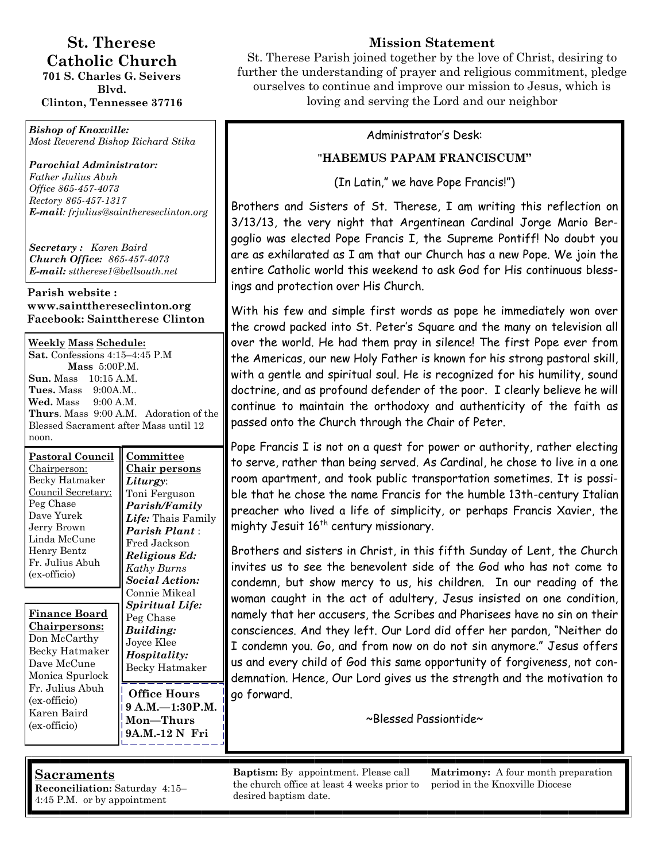# **St. Therese Catholic Church**

**701 S. Charles G. Seivers Blvd. Clinton, Tennessee 37716** 

*Bishop of Knoxville: Most Reverend Bishop Richard Stika*

*Parochial Administrator: Father Julius Abuh Office 865-457-4073 Rectory 865-457-1317 E-mail: frjulius@sainthereseclinton.org*

*Secretary : Karen Baird Church Office: 865-457-4073 E-mail: sttherese1@bellsouth.net* 

#### **Parish website : www.saintthereseclinton.org Facebook: Sainttherese Clinton**

**Weekly Mass Schedule: Sat.** Confessions 4:15–4:45 P.M **Mass** 5:00P.M. **Sun.** Mass 10:15 A.M. **Tues.** Mass 9:00A.M.. **Wed.** Mass 9:00 A.M. **Thurs**. Mass 9:00 A.M. Adoration of the Blessed Sacrament after Mass until 12 noon.

| <b>Pastoral Council</b><br>Chairperson:<br>Becky Hatmaker<br>Council Secretary:<br>Peg Chase<br>Dave Yurek<br>Jerry Brown<br>Linda McCune<br>Henry Bentz<br>Fr. Julius Abuh<br>(ex-officio) | Committee<br><u>Chair persons</u><br>Liturgy:<br>Toni Ferguson<br>Parish/Family<br>Life: Thais Family<br><b>Parish Plant</b> :<br>Fred Jackson<br>Religious Ed:<br>Kathy Burns<br><b>Social Action:</b> |
|---------------------------------------------------------------------------------------------------------------------------------------------------------------------------------------------|---------------------------------------------------------------------------------------------------------------------------------------------------------------------------------------------------------|
| Finance Board<br><u>Chairpersons:</u><br>Don McCarthy<br>Becky Hatmaker<br>Dave McCune<br>Monica Spurlock                                                                                   | Connie Mikeal<br>Spiritual Life:<br>Peg Chase<br>Building:<br>Joyce Klee<br>Hospitality:<br>Becky Hatmaker                                                                                              |
| Fr. Julius Abuh<br>(ex-officio)<br>Karen Baird                                                                                                                                              | Office Hours<br>9 A.M.—1:30P.M.                                                                                                                                                                         |

 $\mathbf{r}\mathbf{s}$ **9 A.M.—1:30P.M. Mon—Thurs 9A.M.-12 N Fri**

# **Mission Statement**

St. Therese Parish joined together by the love of Christ, desiring to further the understanding of prayer and religious commitment, pledge ourselves to continue and improve our mission to Jesus, which is loving and serving the Lord and our neighbor

#### Administrator's Desk:

### "**HABEMUS PAPAM FRANCISCUM"**

(In Latin," we have Pope Francis!")

Brothers and Sisters of St. Therese, I am writing this reflection on 3/13/13, the very night that Argentinean Cardinal Jorge Mario Bergoglio was elected Pope Francis I, the Supreme Pontiff! No doubt you are as exhilarated as I am that our Church has a new Pope. We join the entire Catholic world this weekend to ask God for His continuous blessings and protection over His Church.

With his few and simple first words as pope he immediately won over the crowd packed into St. Peter's Square and the many on television all over the world. He had them pray in silence! The first Pope ever from the Americas, our new Holy Father is known for his strong pastoral skill, with a gentle and spiritual soul. He is recognized for his humility, sound doctrine, and as profound defender of the poor. I clearly believe he will continue to maintain the orthodoxy and authenticity of the faith as passed onto the Church through the Chair of Peter.

Pope Francis I is not on a quest for power or authority, rather electing to serve, rather than being served. As Cardinal, he chose to live in a one room apartment, and took public transportation sometimes. It is possible that he chose the name Francis for the humble 13th-century Italian preacher who lived a life of simplicity, or perhaps Francis Xavier, the mighty Jesuit 16<sup>th</sup> century missionary.

Brothers and sisters in Christ, in this fifth Sunday of Lent, the Church invites us to see the benevolent side of the God who has not come to condemn, but show mercy to us, his children. In our reading of the woman caught in the act of adultery, Jesus insisted on one condition, namely that her accusers, the Scribes and Pharisees have no sin on their consciences. And they left. Our Lord did offer her pardon, "Neither do I condemn you. Go, and from now on do not sin anymore." Jesus offers us and every child of God this same opportunity of forgiveness, not condemnation. Hence, Our Lord gives us the strength and the motivation to go forward.

~Blessed Passiontide~

## **Sacraments**

(ex-officio)

**Reconciliation:** Saturday 4:15– 4:45 P.M. or by appointment

**Baptism:** By appointment. Please call the church office at least 4 weeks prior to desired baptism date.

**Matrimony:** A four month preparation period in the Knoxville Diocese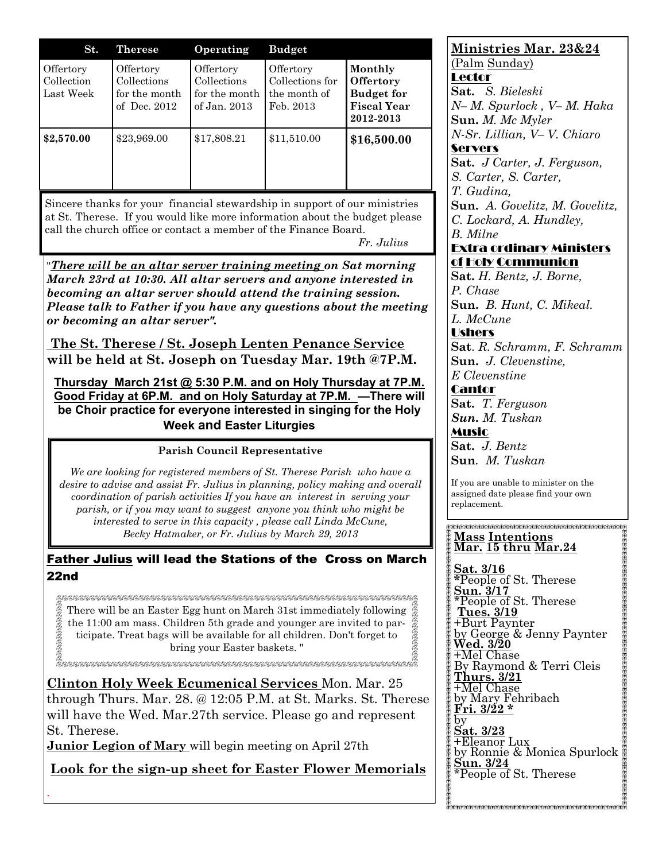| St.                                  | <b>Therese</b>                                              | Operating                                                 | <b>Budget</b>                                             |                                                                                     |
|--------------------------------------|-------------------------------------------------------------|-----------------------------------------------------------|-----------------------------------------------------------|-------------------------------------------------------------------------------------|
| Offertory<br>Collection<br>Last Week | Offertory<br>Collections<br>for the month<br>of Dec. $2012$ | Offertory<br>Collections<br>for the month<br>of Jan. 2013 | Offertory<br>Collections for<br>the month of<br>Feb. 2013 | Monthly<br><b>Offertory</b><br><b>Budget for</b><br><b>Fiscal Year</b><br>2012-2013 |
| \$2,570.00                           | \$23,969.00                                                 | \$17,808.21                                               | \$11,510.00                                               | \$16,500.00                                                                         |

Sincere thanks for your financial stewardship in support of our ministries at St. Therese. If you would like more information about the budget please call the church office or contact a member of the Finance Board.

*Fr. Julius*

"*There will be an altar server training meeting on Sat morning March 23rd at 10:30. All altar servers and anyone interested in becoming an altar server should attend the training session. Please talk to Father if you have any questions about the meeting or becoming an altar server".*

**The St. Therese / St. Joseph Lenten Penance Service will be held at St. Joseph on Tuesday Mar. 19th @7P.M.**

**Thursday March 21st @ 5:30 P.M. and on Holy Thursday at 7P.M. Good Friday at 6P.M. and on Holy Saturday at 7P.M. —There will be Choir practice for everyone interested in singing for the Holy Week and Easter Liturgies** 

#### **Parish Council Representative**

*We are looking for registered members of St. Therese Parish who have a desire to advise and assist Fr. Julius in planning, policy making and overall coordination of parish activities If you have an interest in serving your parish, or if you may want to suggest anyone you think who might be interested to serve in this capacity , please call Linda McCune, Becky Hatmaker, or Fr. Julius by March 29, 2013*

Father Julius will lead the Stations of the Cross on March 22nd

There will be an Easter Egg hunt on March 31st immediately following the 11:00 am mass. Children 5th grade and younger are invited to participate. Treat bags will be available for all children. Don't forget to bring your Easter baskets. "

E.<br>ESESESESESES ESESESES ESESESESES ESESESES ESESESESES ESESESESESESESESESES ESESESESESESESESESES ESESESESESESESE

**Clinton Holy Week Ecumenical Services** Mon. Mar. 25 through Thurs. Mar. 28. @ 12:05 P.M. at St. Marks. St. Therese will have the Wed. Mar.27th service. Please go and represent St. Therese.

**Junior Legion of Mary** will begin meeting on April 27th

.

**Look for the sign-up sheet for Easter Flower Memorials**

# **Ministries Mar. 23&24** (Palm Sunday)

Lector **Sat.** *S. Bieleski N– M. Spurlock , V– M. Haka*  **Sun.** *M. Mc Myler N-Sr. Lillian, V– V. Chiaro*  **Servers** 

**Sat.** *J Carter, J. Ferguson, S. Carter, S. Carter, T. Gudina,*  **Sun.** *A. Govelitz, M. Govelitz, C. Lockard, A. Hundley, B. Milne* 

#### Extra ordinary Ministers of Holy Communion

**Sat.** *H. Bentz, J. Borne, P. Chase*  **Sun.** *B. Hunt, C. Mikeal.* 

*L. McCune*  Ushers **Sat**. *R. Schramm, F. Schramm* 

**Sun.** *J. Clevenstine, E Clevenstine* 

**Cantor Sat.** *T. Ferguson Sun. M. Tuskan*  Music **Sat.** *J. Bentz* **Sun***. M. Tuskan* 

If you are unable to minister on the assigned date please find your own replacement.

#### **Mass Intentions Mar. 15 thru Mar.24**

**Sat. 3/16 \***People of St. Therese **Sun. 3/17** \*People of St. Therese **Tues. 3/19** +Burt Paynter by George & Jenny Paynter **Wed. 3/20** +Mel Chase By Raymond & Terri Cleis **Thurs. 3/21** +Mel Chase by Mary Fehribach **Fri. 3/22 \*** by **Sat. 3/23 +**Eleanor Lux by Ronnie & Monica Spurlock **Sun. 3/24** \*People of St. Therese

\$<br><del>AARAARAARAARAARAARAARAARAARAARAARAARA</del>

**她能和最前期的最后的我的最后的最后的我的最后的我的是我的最后的我的是我的我的我的我的是我的我的**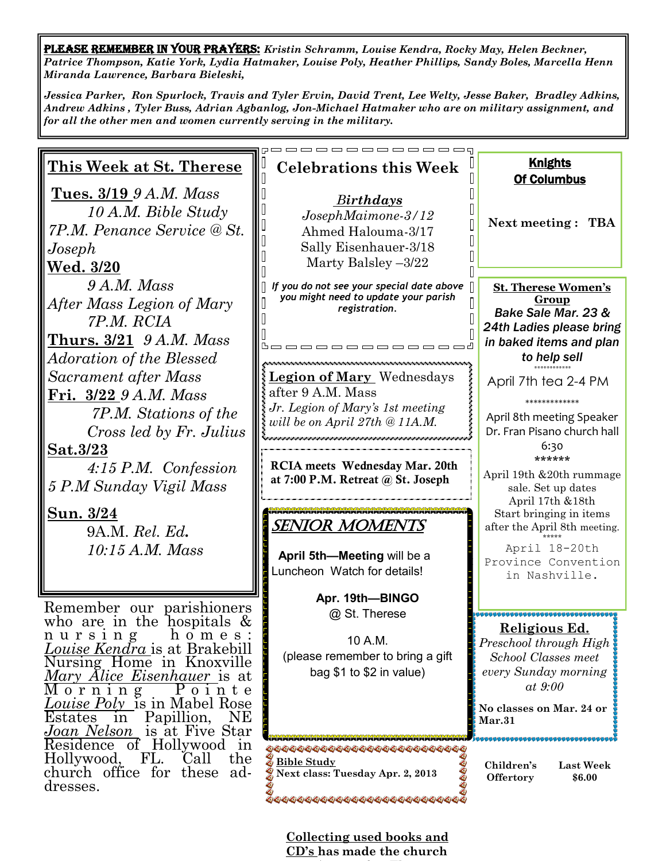PLEASE REMEMBER IN YOUR PRAYERS: *Kristin Schramm, Louise Kendra, Rocky May, Helen Beckner, Patrice Thompson, Katie York, Lydia Hatmaker, Louise Poly, Heather Phillips, Sandy Boles, Marcella Henn Miranda Lawrence, Barbara Bieleski,*

*Jessica Parker, Ron Spurlock, Travis and Tyler Ervin, David Trent, Lee Welty, Jesse Baker, Bradley Adkins, Andrew Adkins , Tyler Buss, Adrian Agbanlog, Jon-Michael Hatmaker who are on military assignment, and for all the other men and women currently serving in the military.* 

| <u>This Week at St. Therese</u>                                                                                                                                                                                                                                                                                                               | <b>Celebrations this Week</b>                                                                                                                                 | <b>Knights</b><br><b>Of Columbus</b>                                                                                                                                                    |  |  |  |
|-----------------------------------------------------------------------------------------------------------------------------------------------------------------------------------------------------------------------------------------------------------------------------------------------------------------------------------------------|---------------------------------------------------------------------------------------------------------------------------------------------------------------|-----------------------------------------------------------------------------------------------------------------------------------------------------------------------------------------|--|--|--|
| <b>Tues. 3/19</b> 9 A.M. Mass<br>10 A.M. Bible Study<br>7P.M. Penance Service @ St.<br>$\emph{Joseph}$<br><u>Wed. 3/20</u>                                                                                                                                                                                                                    | <b>Birthdays</b><br>JosephMaimone-3/12<br>Ahmed Halouma-3/17<br>Sally Eisenhauer-3/18<br>Marty Balsley $-3/22$                                                | <b>Next meeting: TBA</b>                                                                                                                                                                |  |  |  |
| 9A.M. Mass<br>After Mass Legion of Mary<br>7P.M. RCIA<br><u>Thurs. 3/21</u> 9 A.M. Mass                                                                                                                                                                                                                                                       | If you do not see your special date above<br>you might need to update your parish<br>registration.                                                            | <b>St. Therese Women's</b><br><b>Group</b><br>Bake Sale Mar. 23 &<br>24th Ladies please bring<br>in baked items and plan<br>to help sell                                                |  |  |  |
| <i>Adoration of the Blessed</i><br>Sacrament after Mass<br>Fri._3/22_9 A.M. Mass<br>7P.M. Stations of the<br>Cross led by Fr. Julius<br><u>Sat.3/23</u><br>$4.15$ P.M. Confession                                                                                                                                                             | <b>Legion of Mary Wednesdays</b><br>after 9 A.M. Mass<br>Jr. Legion of Mary's 1st meeting<br>will be on April 27th @ 11A.M.<br>RCIA meets Wednesday Mar. 20th | April 7th tea 2-4 PM<br>*************<br>April 8th meeting Speaker<br>Dr. Fran Pisano church hall<br>6:30<br>******                                                                     |  |  |  |
| 5 P.M Sunday Vigil Mass<br><u>Sun.</u> 3/24<br>9A.M. Rel. Ed.<br>$10:15$ A.M. Mass                                                                                                                                                                                                                                                            | at 7:00 P.M. Retreat @ St. Joseph<br>SENIOR MOMENTS<br>April 5th-Meeting will be a<br>Luncheon Watch for details!                                             | April 19th & 20th rummage<br>sale. Set up dates<br>April 17th &18th<br>Start bringing in items<br>after the April 8th meeting.<br>April 18-20th<br>Province Convention<br>in Nashville. |  |  |  |
| Remember our parishioners<br>who are in the hospitals $\&$<br>h o m e s :<br>nursing<br><i>Louise Kendra</i> is at Brakebill<br>Nursing Home in Knoxville<br><i>Mary Alice Eisenhauer</i> is at<br>Morning<br>Pointe<br><i>Louise Poly</i> is in Mabel Rose<br>Papillion,<br>NE<br><b>Estates</b><br>in<br><i>Joan Nelson</i> is at Five Star | Apr. 19th-BINGO<br>@ St. Therese<br>10 A.M.<br>(please remember to bring a gift<br>bag $$1$ to $$2$ in value)                                                 | <u> Religious Ed.</u><br>Preschool through High<br><b>School Classes meet</b><br>every Sunday morning<br>$at$ 9:00<br>No classes on Mar. 24 or<br>Mar.31                                |  |  |  |
| Residence<br>of<br>Hollywood in<br>Hollywood,<br>FL.<br>the<br>Call<br>church office for<br>these ad-<br>dresses.                                                                                                                                                                                                                             | **************************<br>Bible Study<br>Next class: Tuesday Apr. 2, 2013<br><i>00000000000000000000000000000</i>                                         | Children's<br><b>Last Week</b><br><b>Offertory</b><br>\$6.00                                                                                                                            |  |  |  |

**Collecting used books and CD's has made the church**